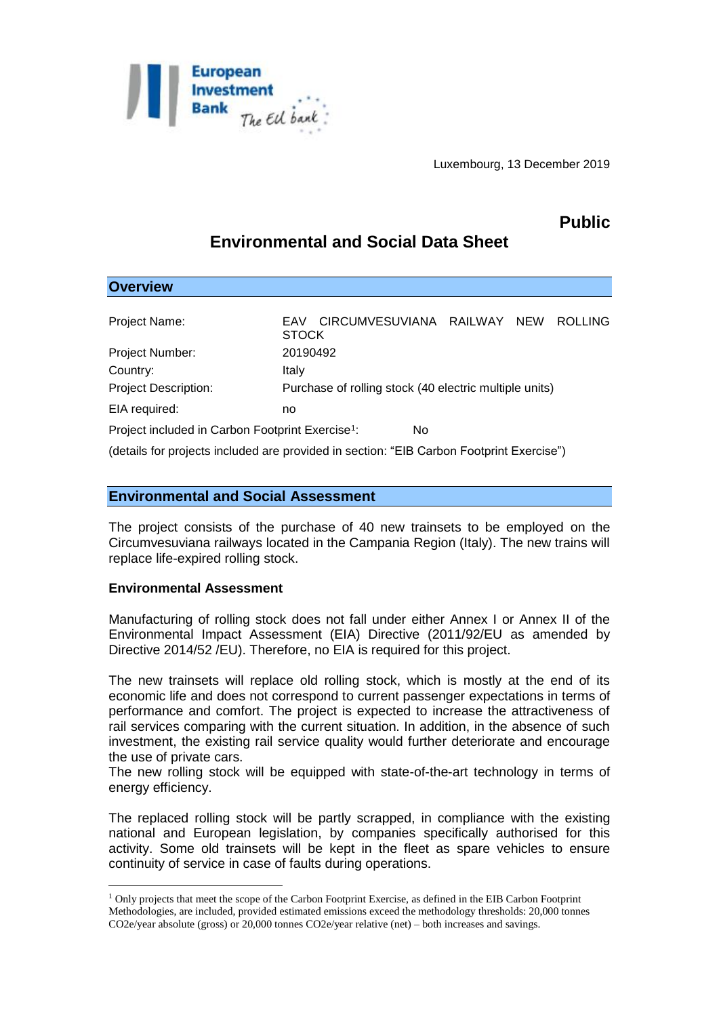

Luxembourg, 13 December 2019

## **Public**

# **Environmental and Social Data Sheet**

| <b>Overview</b>                                              |                                                                                                                                                                                                                                    |
|--------------------------------------------------------------|------------------------------------------------------------------------------------------------------------------------------------------------------------------------------------------------------------------------------------|
|                                                              |                                                                                                                                                                                                                                    |
| Project Name:                                                | CIRCUMVESUVIANA RAILWAY<br><b>ROLLING</b><br><b>NEW</b><br>EAV<br><b>STOCK</b>                                                                                                                                                     |
| Project Number:                                              | 20190492                                                                                                                                                                                                                           |
| Country:                                                     | Italy                                                                                                                                                                                                                              |
| <b>Project Description:</b>                                  | Purchase of rolling stock (40 electric multiple units)                                                                                                                                                                             |
| EIA required:                                                | no                                                                                                                                                                                                                                 |
| Project included in Carbon Footprint Exercise <sup>1</sup> : | No.                                                                                                                                                                                                                                |
|                                                              | $\mathcal{L}$ , and the contract of the contract of the contract of the contract of the contract of the contract of the contract of the contract of the contract of the contract of the contract of the contract of the contract o |

(details for projects included are provided in section: "EIB Carbon Footprint Exercise")

### **Environmental and Social Assessment**

The project consists of the purchase of 40 new trainsets to be employed on the Circumvesuviana railways located in the Campania Region (Italy). The new trains will replace life-expired rolling stock.

#### **Environmental Assessment**

1

Manufacturing of rolling stock does not fall under either Annex I or Annex II of the Environmental Impact Assessment (EIA) Directive (2011/92/EU as amended by Directive 2014/52 /EU). Therefore, no EIA is required for this project.

The new trainsets will replace old rolling stock, which is mostly at the end of its economic life and does not correspond to current passenger expectations in terms of performance and comfort. The project is expected to increase the attractiveness of rail services comparing with the current situation. In addition, in the absence of such investment, the existing rail service quality would further deteriorate and encourage the use of private cars.

The new rolling stock will be equipped with state-of-the-art technology in terms of energy efficiency.

The replaced rolling stock will be partly scrapped, in compliance with the existing national and European legislation, by companies specifically authorised for this activity. Some old trainsets will be kept in the fleet as spare vehicles to ensure continuity of service in case of faults during operations.

<sup>1</sup> Only projects that meet the scope of the Carbon Footprint Exercise, as defined in the EIB Carbon Footprint Methodologies, are included, provided estimated emissions exceed the methodology thresholds: 20,000 tonnes CO2e/year absolute (gross) or 20,000 tonnes CO2e/year relative (net) – both increases and savings.